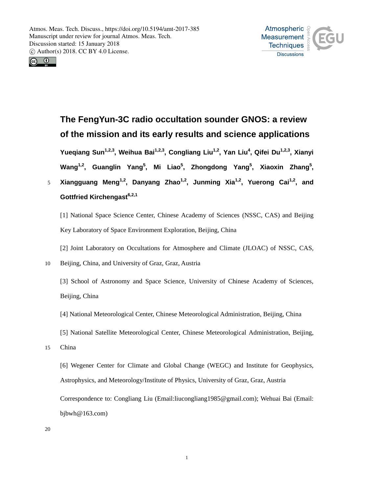



# **The FengYun-3C radio occultation sounder GNOS: a review of the mission and its early results and science applications**

**Yueqiang Sun1,2,3 , Weihua Bai1,2,3 , Congliang Liu1,2 , Yan Liu<sup>4</sup> , Qifei Du1,2,3, Xianyi Wang1,2 , Guanglin Yang<sup>5</sup> , Mi Liao<sup>5</sup> , Zhongdong Yang<sup>5</sup> , Xiaoxin Zhang<sup>5</sup> ,**

**Xiangguang Meng1,2 , Danyang Zhao1,2 , Junming Xia1,2 , Yuerong Cai1,2** 5 **, and Gottfried Kirchengast6,2,1**

[1] National Space Science Center, Chinese Academy of Sciences (NSSC, CAS) and Beijing Key Laboratory of Space Environment Exploration, Beijing, China

[2] Joint Laboratory on Occultations for Atmosphere and Climate (JLOAC) of NSSC, CAS,

10 Beijing, China, and University of Graz, Graz, Austria

[3] School of Astronomy and Space Science, University of Chinese Academy of Sciences, Beijing, China

- [4] National Meteorological Center, Chinese Meteorological Administration, Beijing, China
- [5] National Satellite Meteorological Center, Chinese Meteorological Administration, Beijing,
- 15 China

[6] Wegener Center for Climate and Global Change (WEGC) and Institute for Geophysics, Astrophysics, and Meteorology/Institute of Physics, University of Graz, Graz, Austria Correspondence to: Congliang Liu (Email:liucongliang1985@gmail.com); Wehuai Bai (Email:

bjbwh@163.com)

20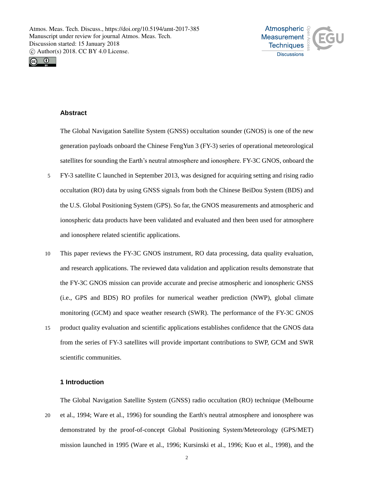



# **Abstract**

The Global Navigation Satellite System (GNSS) occultation sounder (GNOS) is one of the new generation payloads onboard the Chinese FengYun 3 (FY-3) series of operational meteorological satellites for sounding the Earth's neutral atmosphere and ionosphere. FY-3C GNOS, onboard the

- 5 FY-3 satellite C launched in September 2013, was designed for acquiring setting and rising radio occultation (RO) data by using GNSS signals from both the Chinese BeiDou System (BDS) and the U.S. Global Positioning System (GPS). So far, the GNOS measurements and atmospheric and ionospheric data products have been validated and evaluated and then been used for atmosphere and ionosphere related scientific applications.
- 10 This paper reviews the FY-3C GNOS instrument, RO data processing, data quality evaluation, and research applications. The reviewed data validation and application results demonstrate that the FY-3C GNOS mission can provide accurate and precise atmospheric and ionospheric GNSS (i.e., GPS and BDS) RO profiles for numerical weather prediction (NWP), global climate monitoring (GCM) and space weather research (SWR). The performance of the FY-3C GNOS
- 15 product quality evaluation and scientific applications establishes confidence that the GNOS data from the series of FY-3 satellites will provide important contributions to SWP, GCM and SWR scientific communities.

#### **1 Introduction**

The Global Navigation Satellite System (GNSS) radio occultation (RO) technique (Melbourne

20 et al., 1994; Ware et al., 1996) for sounding the Earth's neutral atmosphere and ionosphere was demonstrated by the proof-of-concept Global Positioning System/Meteorology (GPS/MET) mission launched in 1995 (Ware et al., 1996; Kursinski et al., 1996; Kuo et al., 1998), and the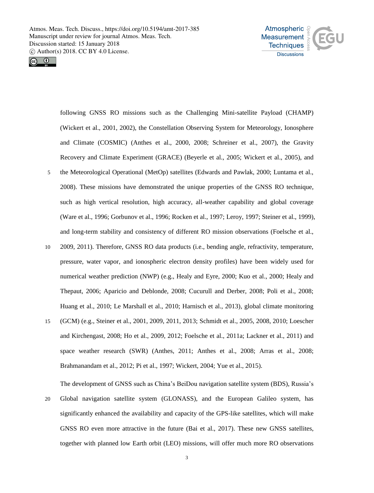



following GNSS RO missions such as the Challenging Mini-satellite Payload (CHAMP) (Wickert et al., 2001, 2002), the Constellation Observing System for Meteorology, Ionosphere and Climate (COSMIC) (Anthes et al., 2000, 2008; Schreiner et al., 2007), the Gravity Recovery and Climate Experiment (GRACE) (Beyerle et al., 2005; Wickert et al., 2005), and 5 the Meteorological Operational (MetOp) satellites (Edwards and Pawlak, 2000; Luntama et al., 2008). These missions have demonstrated the unique properties of the GNSS RO technique, such as high vertical resolution, high accuracy, all-weather capability and global coverage (Ware et al., 1996; Gorbunov et al., 1996; Rocken et al., 1997; Leroy, 1997; Steiner et al., 1999), and long-term stability and consistency of different RO mission observations (Foelsche et al.,

- 10 2009, 2011). Therefore, GNSS RO data products (i.e., bending angle, refractivity, temperature, pressure, water vapor, and ionospheric electron density profiles) have been widely used for numerical weather prediction (NWP) (e.g., Healy and Eyre, 2000; Kuo et al., 2000; Healy and Thepaut, 2006; Aparicio and Deblonde, 2008; Cucurull and Derber, 2008; Poli et al., 2008; Huang et al., 2010; Le Marshall et al., 2010; Harnisch et al., 2013), global climate monitoring
- 15 (GCM) (e.g., Steiner et al., 2001, 2009, 2011, 2013; Schmidt et al., 2005, 2008, 2010; Loescher and Kirchengast, 2008; Ho et al., 2009, 2012; Foelsche et al., 2011a; Lackner et al., 2011) and space weather research (SWR) (Anthes, 2011; Anthes et al., 2008; Arras et al., 2008; Brahmanandam et al., 2012; Pi et al., 1997; Wickert, 2004; Yue et al., 2015).

The development of GNSS such as China's BeiDou navigation satellite system (BDS), Russia's

20 Global navigation satellite system (GLONASS), and the European Galileo system, has significantly enhanced the availability and capacity of the GPS-like satellites, which will make GNSS RO even more attractive in the future (Bai et al., 2017). These new GNSS satellites, together with planned low Earth orbit (LEO) missions, will offer much more RO observations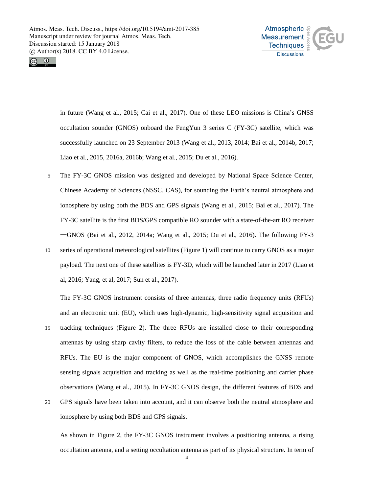



in future (Wang et al., 2015; Cai et al., 2017). One of these LEO missions is China's GNSS occultation sounder (GNOS) onboard the FengYun 3 series C (FY-3C) satellite, which was successfully launched on 23 September 2013 (Wang et al., 2013, 2014; Bai et al., 2014b, 2017; Liao et al., 2015, 2016a, 2016b; Wang et al., 2015; Du et al., 2016).

- 5 The FY-3C GNOS mission was designed and developed by National Space Science Center, Chinese Academy of Sciences (NSSC, CAS), for sounding the Earth's neutral atmosphere and ionosphere by using both the BDS and GPS signals (Wang et al., 2015; Bai et al., 2017). The FY-3C satellite is the first BDS/GPS compatible RO sounder with a state-of-the-art RO receiver —GNOS (Bai et al., 2012, 2014a; Wang et al., 2015; Du et al., 2016). The following FY-3
- 10 series of operational meteorological satellites (Figure 1) will continue to carry GNOS as a major payload. The next one of these satellites is FY-3D, which will be launched later in 2017 (Liao et al, 2016; Yang, et al, 2017; Sun et al., 2017).

The FY-3C GNOS instrument consists of three antennas, three radio frequency units (RFUs) and an electronic unit (EU), which uses high-dynamic, high-sensitivity signal acquisition and

- 15 tracking techniques (Figure 2). The three RFUs are installed close to their corresponding antennas by using sharp cavity filters, to reduce the loss of the cable between antennas and RFUs. The EU is the major component of GNOS, which accomplishes the GNSS remote sensing signals acquisition and tracking as well as the real-time positioning and carrier phase observations (Wang et al., 2015). In FY-3C GNOS design, the different features of BDS and
- 20 GPS signals have been taken into account, and it can observe both the neutral atmosphere and ionosphere by using both BDS and GPS signals.

As shown in Figure 2, the FY-3C GNOS instrument involves a positioning antenna, a rising occultation antenna, and a setting occultation antenna as part of its physical structure. In term of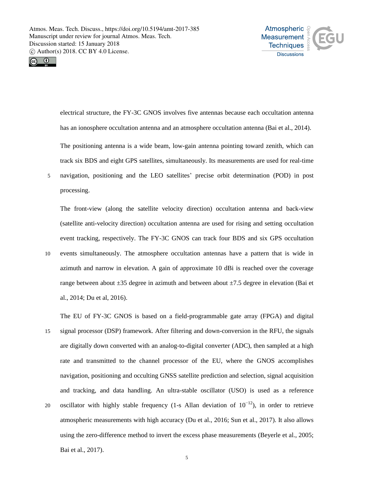



electrical structure, the FY-3C GNOS involves five antennas because each occultation antenna has an ionosphere occultation antenna and an atmosphere occultation antenna (Bai et al., 2014).

The positioning antenna is a wide beam, low-gain antenna pointing toward zenith, which can track six BDS and eight GPS satellites, simultaneously. Its measurements are used for real-time 5 navigation, positioning and the LEO satellites' precise orbit determination (POD) in post

processing.

The front-view (along the satellite velocity direction) occultation antenna and back-view (satellite anti-velocity direction) occultation antenna are used for rising and setting occultation event tracking, respectively. The FY-3C GNOS can track four BDS and six GPS occultation 10 events simultaneously. The atmosphere occultation antennas have a pattern that is wide in azimuth and narrow in elevation. A gain of approximate 10 dBi is reached over the coverage range between about ±35 degree in azimuth and between about ±7.5 degree in elevation (Bai et al., 2014; Du et al, 2016).

The EU of FY-3C GNOS is based on a field-programmable gate array (FPGA) and digital

15 signal processor (DSP) framework. After filtering and down-conversion in the RFU, the signals are digitally down converted with an analog-to-digital converter (ADC), then sampled at a high rate and transmitted to the channel processor of the EU, where the GNOS accomplishes navigation, positioning and occulting GNSS satellite prediction and selection, signal acquisition and tracking, and data handling. An ultra-stable oscillator (USO) is used as a reference oscillator with highly stable frequency (1-s Allan deviation of  $10^{-12}$ ), in order to retrieve atmospheric measurements with high accuracy (Du et al., 2016; Sun et al., 2017). It also allows using the zero-difference method to invert the excess phase measurements (Beyerle et al., 2005;

Bai et al., 2017).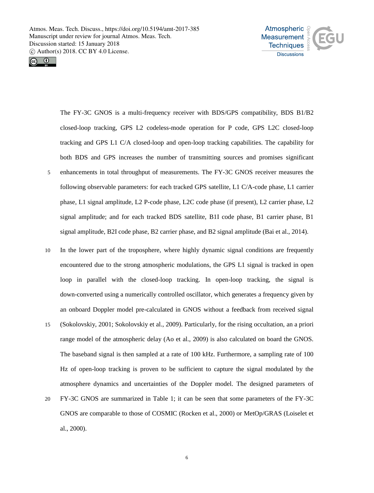



The FY-3C GNOS is a multi-frequency receiver with BDS/GPS compatibility, BDS B1/B2 closed-loop tracking, GPS L2 codeless-mode operation for P code, GPS L2C closed-loop tracking and GPS L1 C/A closed-loop and open-loop tracking capabilities. The capability for both BDS and GPS increases the number of transmitting sources and promises significant 5 enhancements in total throughput of measurements. The FY-3C GNOS receiver measures the following observable parameters: for each tracked GPS satellite, L1 C/A-code phase, L1 carrier phase, L1 signal amplitude, L2 P-code phase, L2C code phase (if present), L2 carrier phase, L2 signal amplitude; and for each tracked BDS satellite, B1I code phase, B1 carrier phase, B1 signal amplitude, B2I code phase, B2 carrier phase, and B2 signal amplitude (Bai et al., 2014).

- 10 In the lower part of the troposphere, where highly dynamic signal conditions are frequently encountered due to the strong atmospheric modulations, the GPS L1 signal is tracked in open loop in parallel with the closed-loop tracking. In open-loop tracking, the signal is down-converted using a numerically controlled oscillator, which generates a frequency given by an onboard Doppler model pre-calculated in GNOS without a feedback from received signal
- 15 (Sokolovskiy, 2001; Sokolovskiy et al., 2009). Particularly, for the rising occultation, an a priori range model of the atmospheric delay (Ao et al., 2009) is also calculated on board the GNOS. The baseband signal is then sampled at a rate of 100 kHz. Furthermore, a sampling rate of 100 Hz of open-loop tracking is proven to be sufficient to capture the signal modulated by the atmosphere dynamics and uncertainties of the Doppler model. The designed parameters of 20 FY-3C GNOS are summarized in Table 1; it can be seen that some parameters of the FY-3C GNOS are comparable to those of COSMIC (Rocken et al., 2000) or MetOp/GRAS (Loiselet et

al., 2000).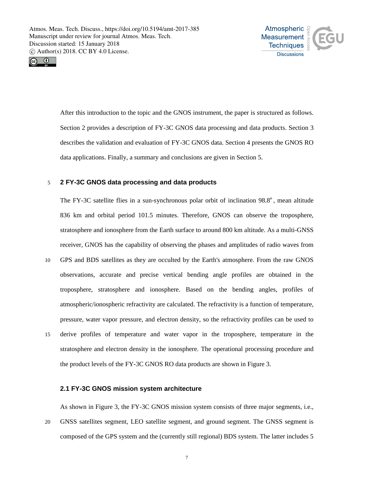



After this introduction to the topic and the GNOS instrument, the paper is structured as follows. Section 2 provides a description of FY-3C GNOS data processing and data products. Section 3 describes the validation and evaluation of FY-3C GNOS data. Section 4 presents the GNOS RO data applications. Finally, a summary and conclusions are given in Section 5.

# 5 **2 FY-3C GNOS data processing and data products**

The FY-3C satellite flies in a sun-synchronous polar orbit of inclination 98.8º, mean altitude 836 km and orbital period 101.5 minutes. Therefore, GNOS can observe the troposphere, stratosphere and ionosphere from the Earth surface to around 800 km altitude. As a multi-GNSS receiver, GNOS has the capability of observing the phases and amplitudes of radio waves from

- 10 GPS and BDS satellites as they are occulted by the Earth's atmosphere. From the raw GNOS observations, accurate and precise vertical bending angle profiles are obtained in the troposphere, stratosphere and ionosphere. Based on the bending angles, profiles of atmospheric/ionospheric refractivity are calculated. The refractivity is a function of temperature, pressure, water vapor pressure, and electron density, so the refractivity profiles can be used to 15 derive profiles of temperature and water vapor in the troposphere, temperature in the
- stratosphere and electron density in the ionosphere. The operational processing procedure and the product levels of the FY-3C GNOS RO data products are shown in Figure 3.

# **2.1 FY-3C GNOS mission system architecture**

As shown in Figure 3, the FY-3C GNOS mission system consists of three major segments, i.e.,

20 GNSS satellites segment, LEO satellite segment, and ground segment. The GNSS segment is composed of the GPS system and the (currently still regional) BDS system. The latter includes 5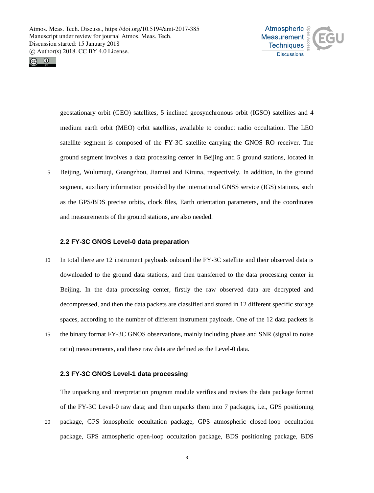



geostationary orbit (GEO) satellites, 5 inclined geosynchronous orbit (IGSO) satellites and 4 medium earth orbit (MEO) orbit satellites, available to conduct radio occultation. The LEO satellite segment is composed of the FY-3C satellite carrying the GNOS RO receiver. The ground segment involves a data processing center in Beijing and 5 ground stations, located in 5 Beijing, Wulumuqi, Guangzhou, Jiamusi and Kiruna, respectively. In addition, in the ground segment, auxiliary information provided by the international GNSS service (IGS) stations, such as the GPS/BDS precise orbits, clock files, Earth orientation parameters, and the coordinates and measurements of the ground stations, are also needed.

#### **2.2 FY-3C GNOS Level-0 data preparation**

10 In total there are 12 instrument payloads onboard the FY-3C satellite and their observed data is downloaded to the ground data stations, and then transferred to the data processing center in Beijing. In the data processing center, firstly the raw observed data are decrypted and decompressed, and then the data packets are classified and stored in 12 different specific storage spaces, according to the number of different instrument payloads. One of the 12 data packets is 15 the binary format FY-3C GNOS observations, mainly including phase and SNR (signal to noise ratio) measurements, and these raw data are defined as the Level-0 data.

#### **2.3 FY-3C GNOS Level-1 data processing**

The unpacking and interpretation program module verifies and revises the data package format of the FY-3C Level-0 raw data; and then unpacks them into 7 packages, i.e., GPS positioning

20 package, GPS ionospheric occultation package, GPS atmospheric closed-loop occultation package, GPS atmospheric open-loop occultation package, BDS positioning package, BDS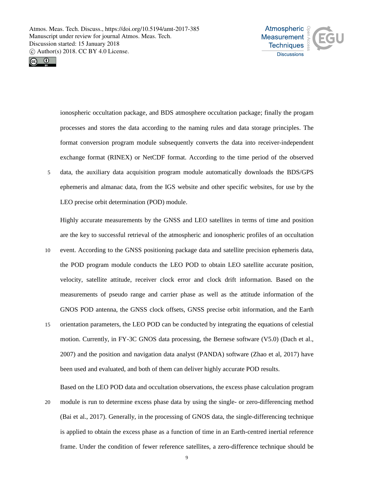



ionospheric occultation package, and BDS atmosphere occultation package; finally the progam processes and stores the data according to the naming rules and data storage principles. The format conversion program module subsequently converts the data into receiver-independent exchange format (RINEX) or NetCDF format. According to the time period of the observed 5 data, the auxiliary data acquisition program module automatically downloads the BDS/GPS ephemeris and almanac data, from the IGS website and other specific websites, for use by the LEO precise orbit determination (POD) module.

Highly accurate measurements by the GNSS and LEO satellites in terms of time and position are the key to successful retrieval of the atmospheric and ionospheric profiles of an occultation

- 10 event. According to the GNSS positioning package data and satellite precision ephemeris data, the POD program module conducts the LEO POD to obtain LEO satellite accurate position, velocity, satellite attitude, receiver clock error and clock drift information. Based on the measurements of pseudo range and carrier phase as well as the attitude information of the GNOS POD antenna, the GNSS clock offsets, GNSS precise orbit information, and the Earth
- 15 orientation parameters, the LEO POD can be conducted by integrating the equations of celestial motion. Currently, in FY-3C GNOS data processing, the Bernese software (V5.0) (Dach et al., 2007) and the position and navigation data analyst (PANDA) software (Zhao et al, 2017) have been used and evaluated, and both of them can deliver highly accurate POD results.

Based on the LEO POD data and occultation observations, the excess phase calculation program

20 module is run to determine excess phase data by using the single- or zero-differencing method (Bai et al., 2017). Generally, in the processing of GNOS data, the single-differencing technique is applied to obtain the excess phase as a function of time in an Earth-centred inertial reference frame. Under the condition of fewer reference satellites, a zero-difference technique should be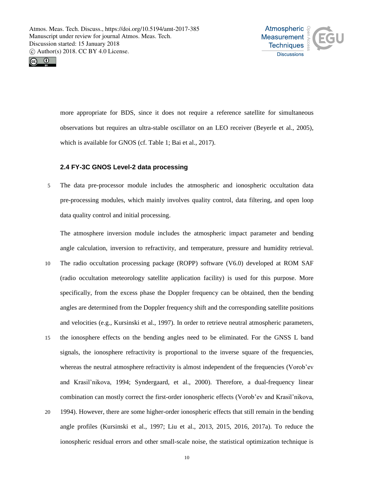



more appropriate for BDS, since it does not require a reference satellite for simultaneous observations but requires an ultra-stable oscillator on an LEO receiver (Beyerle et al., 2005), which is available for GNOS (cf. Table 1; Bai et al., 2017).

# **2.4 FY-3C GNOS Level-2 data processing**

5 The data pre-processor module includes the atmospheric and ionospheric occultation data pre-processing modules, which mainly involves quality control, data filtering, and open loop data quality control and initial processing.

The atmosphere inversion module includes the atmospheric impact parameter and bending angle calculation, inversion to refractivity, and temperature, pressure and humidity retrieval.

- 10 The radio occultation processing package (ROPP) software (V6.0) developed at ROM SAF (radio occultation meteorology satellite application facility) is used for this purpose. More specifically, from the excess phase the Doppler frequency can be obtained, then the bending angles are determined from the Doppler frequency shift and the corresponding satellite positions and velocities (e.g., Kursinski et al., 1997). In order to retrieve neutral atmospheric parameters,
- 15 the ionosphere effects on the bending angles need to be eliminated. For the GNSS L band signals, the ionosphere refractivity is proportional to the inverse square of the frequencies, whereas the neutral atmosphere refractivity is almost independent of the frequencies (Vorob'ev and Krasil'nikova, 1994; Syndergaard, et al., 2000). Therefore, a dual-frequency linear combination can mostly correct the first-order ionospheric effects (Vorob'ev and Krasil'nikova,
- 20 1994). However, there are some higher-order ionospheric effects that still remain in the bending angle profiles (Kursinski et al., 1997; Liu et al., 2013, 2015, 2016, 2017a). To reduce the ionospheric residual errors and other small-scale noise, the statistical optimization technique is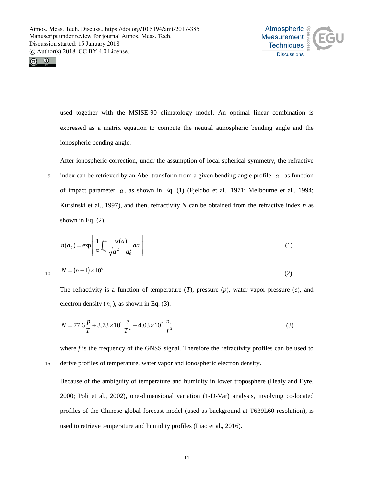



used together with the MSISE-90 climatology model. An optimal linear combination is expressed as a matrix equation to compute the neutral atmospheric bending angle and the ionospheric bending angle.

After ionospheric correction, under the assumption of local spherical symmetry, the refractive

5 index can be retrieved by an Abel transform from a given bending angle profile  $\alpha$  as function of impact parameter *a* , as shown in Eq. (1) (Fjeldbo et al., 1971; Melbourne et al., 1994; Kursinski et al., 1997), and then, refractivity *N* can be obtained from the refractive index *n* as shown in Eq. (2).

$$
n(a_0) = \exp\left[\frac{1}{\pi} \int_{a_0}^{\infty} \frac{\alpha(a)}{\sqrt{a^2 - a_0^2}} da\right]
$$
 (1)

$$
N = (n-1) \times 10^6 \tag{2}
$$

The refractivity is a function of temperature (*T*), pressure (*p*), water vapor pressure (*e*), and electron density  $(n_e)$ , as shown in Eq. (3).

$$
N = 77.6 \frac{p}{T} + 3.73 \times 10^5 \frac{e}{T^2} - 4.03 \times 10^7 \frac{n_e}{f^2}
$$
 (3)

where *f* is the frequency of the GNSS signal. Therefore the refractivity profiles can be used to 15 derive profiles of temperature, water vapor and ionospheric electron density.

Because of the ambiguity of temperature and humidity in lower troposphere (Healy and Eyre, 2000; Poli et al., 2002), one-dimensional variation (1-D-Var) analysis, involving co-located profiles of the Chinese global forecast model (used as background at T639L60 resolution), is used to retrieve temperature and humidity profiles (Liao et al., 2016).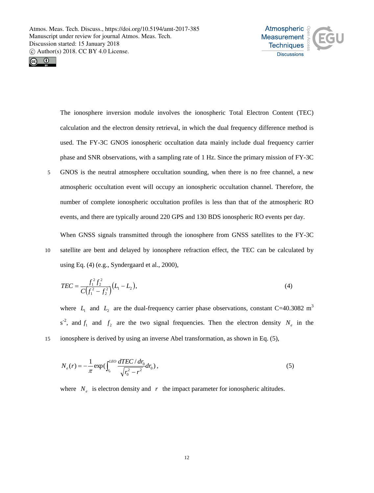



The ionosphere inversion module involves the ionospheric Total Electron Content (TEC) calculation and the electron density retrieval, in which the dual frequency difference method is used. The FY-3C GNOS ionospheric occultation data mainly include dual frequency carrier phase and SNR observations, with a sampling rate of 1 Hz. Since the primary mission of FY-3C 5 GNOS is the neutral atmosphere occultation sounding, when there is no free channel, a new atmospheric occultation event will occupy an ionospheric occultation channel. Therefore, the number of complete ionospheric occultation profiles is less than that of the atmospheric RO events, and there are typically around 220 GPS and 130 BDS ionospheric RO events per day.

When GNSS signals transmitted through the ionosphere from GNSS satellites to the FY-3C 10 satellite are bent and delayed by ionosphere refraction effect, the TEC can be calculated by using Eq. (4) (e.g., Syndergaard et al., 2000),

$$
TEC = \frac{f_1^2 f_2^2}{C(f_1^2 - f_2^2)} (L_1 - L_2),
$$
\n(4)

where  $L_1$  and  $L_2$  are the dual-frequency carrier phase observations, constant C=40.3082 m<sup>3</sup>  $s^2$ , and  $f_1$  and  $f_2$  are the two signal frequencies. Then the electron density  $N_e$  in the 15 ionosphere is derived by using an inverse Abel transformation, as shown in Eq. (5),

$$
N_e(r) = -\frac{1}{\pi} \exp\left(\int_{r_0}^{LEO} \frac{dTEC}{\sqrt{r_0^2 - r^2}} dr_0\right),\tag{5}
$$

where  $N_e$  is electron density and  $r$  the impact parameter for ionospheric altitudes.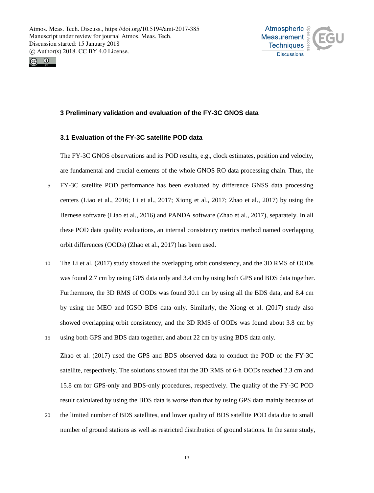



# **3 Preliminary validation and evaluation of the FY-3C GNOS data**

# **3.1 Evaluation of the FY-3C satellite POD data**

The FY-3C GNOS observations and its POD results, e.g., clock estimates, position and velocity, are fundamental and crucial elements of the whole GNOS RO data processing chain. Thus, the

- 5 FY-3C satellite POD performance has been evaluated by difference GNSS data processing centers (Liao et al., 2016; Li et al., 2017; Xiong et al., 2017; Zhao et al., 2017) by using the Bernese software (Liao et al., 2016) and PANDA software (Zhao et al., 2017), separately. In all these POD data quality evaluations, an internal consistency metrics method named overlapping orbit differences (OODs) (Zhao et al., 2017) has been used.
- 10 The Li et al. (2017) study showed the overlapping orbit consistency, and the 3D RMS of OODs was found 2.7 cm by using GPS data only and 3.4 cm by using both GPS and BDS data together. Furthermore, the 3D RMS of OODs was found 30.1 cm by using all the BDS data, and 8.4 cm by using the MEO and IGSO BDS data only. Similarly, the Xiong et al. (2017) study also showed overlapping orbit consistency, and the 3D RMS of OODs was found about 3.8 cm by 15 using both GPS and BDS data together, and about 22 cm by using BDS data only.
- Zhao et al. (2017) used the GPS and BDS observed data to conduct the POD of the FY-3C satellite, respectively. The solutions showed that the 3D RMS of 6-h OODs reached 2.3 cm and 15.8 cm for GPS-only and BDS-only procedures, respectively. The quality of the FY-3C POD result calculated by using the BDS data is worse than that by using GPS data mainly because of
- 20 the limited number of BDS satellites, and lower quality of BDS satellite POD data due to small number of ground stations as well as restricted distribution of ground stations. In the same study,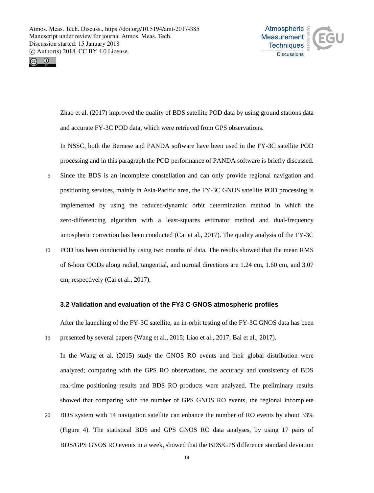



Zhao et al. (2017) improved the quality of BDS satellite POD data by using ground stations data and accurate FY-3C POD data, which were retrieved from GPS observations.

In NSSC, both the Bernese and PANDA software have been used in the FY-3C satellite POD processing and in this paragraph the POD performance of PANDA software is briefly discussed.

- 5 Since the BDS is an incomplete constellation and can only provide regional navigation and positioning services, mainly in Asia-Pacific area, the FY-3C GNOS satellite POD processing is implemented by using the reduced-dynamic orbit determination method in which the zero-differencing algorithm with a least-squares estimator method and dual-frequency ionospheric correction has been conducted (Cai et al., 2017). The quality analysis of the FY-3C
- 10 POD has been conducted by using two months of data. The results showed that the mean RMS of 6-hour OODs along radial, tangential, and normal directions are 1.24 cm, 1.60 cm, and 3.07 cm, respectively (Cai et al., 2017).

#### **3.2 Validation and evaluation of the FY3 C-GNOS atmospheric profiles**

After the launching of the FY-3C satellite, an in-orbit testing of the FY-3C GNOS data has been 15 presented by several papers (Wang et al., 2015; Liao et al., 2017; Bai et al., 2017).

In the Wang et al. (2015) study the GNOS RO events and their global distribution were analyzed; comparing with the GPS RO observations, the accuracy and consistency of BDS real-time positioning results and BDS RO products were analyzed. The preliminary results showed that comparing with the number of GPS GNOS RO events, the regional incomplete

20 BDS system with 14 navigation satellite can enhance the number of RO events by about 33% (Figure 4). The statistical BDS and GPS GNOS RO data analyses, by using 17 pairs of BDS/GPS GNOS RO events in a week, showed that the BDS/GPS difference standard deviation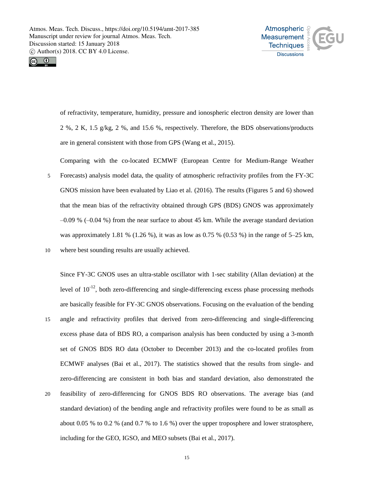



of refractivity, temperature, humidity, pressure and ionospheric electron density are lower than 2 %, 2 K, 1.5 g/kg, 2 %, and 15.6 %, respectively. Therefore, the BDS observations/products are in general consistent with those from GPS (Wang et al., 2015).

Comparing with the co-located ECMWF (European Centre for Medium-Range Weather 5 Forecasts) analysis model data, the quality of atmospheric refractivity profiles from the FY-3C GNOS mission have been evaluated by Liao et al. (2016). The results (Figures 5 and 6) showed that the mean bias of the refractivity obtained through GPS (BDS) GNOS was approximately  $-0.09\%$  ( $-0.04\%$ ) from the near surface to about 45 km. While the average standard deviation was approximately 1.81 % (1.26 %), it was as low as 0.75 % (0.53 %) in the range of  $5-25$  km, 10 where best sounding results are usually achieved.

Since FY-3C GNOS uses an ultra-stable oscillator with 1-sec stability (Allan deviation) at the level of  $10^{-12}$ , both zero-differencing and single-differencing excess phase processing methods are basically feasible for FY-3C GNOS observations. Focusing on the evaluation of the bending 15 angle and refractivity profiles that derived from zero-differencing and single-differencing excess phase data of BDS RO, a comparison analysis has been conducted by using a 3-month set of GNOS BDS RO data (October to December 2013) and the co-located profiles from ECMWF analyses (Bai et al., 2017). The statistics showed that the results from single- and zero-differencing are consistent in both bias and standard deviation, also demonstrated the 20 feasibility of zero-differencing for GNOS BDS RO observations. The average bias (and standard deviation) of the bending angle and refractivity profiles were found to be as small as about 0.05 % to 0.2 % (and 0.7 % to 1.6 %) over the upper troposphere and lower stratosphere,

including for the GEO, IGSO, and MEO subsets (Bai et al., 2017).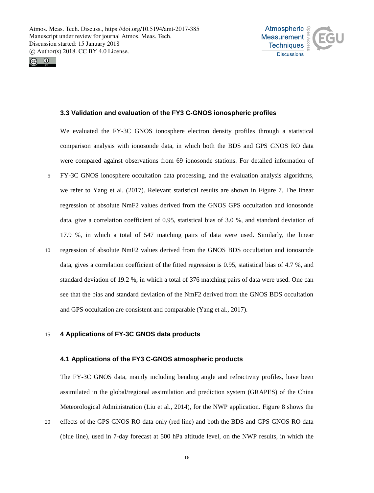



# **3.3 Validation and evaluation of the FY3 C-GNOS ionospheric profiles**

We evaluated the FY-3C GNOS ionosphere electron density profiles through a statistical comparison analysis with ionosonde data, in which both the BDS and GPS GNOS RO data were compared against observations from 69 ionosonde stations. For detailed information of 5 FY-3C GNOS ionosphere occultation data processing, and the evaluation analysis algorithms, we refer to Yang et al. (2017). Relevant statistical results are shown in Figure 7. The linear regression of absolute NmF2 values derived from the GNOS GPS occultation and ionosonde data, give a correlation coefficient of 0.95, statistical bias of 3.0 %, and standard deviation of 17.9 %, in which a total of 547 matching pairs of data were used. Similarly, the linear 10 regression of absolute NmF2 values derived from the GNOS BDS occultation and ionosonde data, gives a correlation coefficient of the fitted regression is 0.95, statistical bias of 4.7 %, and standard deviation of 19.2 %, in which a total of 376 matching pairs of data were used. One can see that the bias and standard deviation of the NmF2 derived from the GNOS BDS occultation and GPS occultation are consistent and comparable (Yang et al., 2017).

# 15 **4 Applications of FY-3C GNOS data products**

#### **4.1 Applications of the FY3 C-GNOS atmospheric products**

The FY-3C GNOS data, mainly including bending angle and refractivity profiles, have been assimilated in the global/regional assimilation and prediction system (GRAPES) of the China Meteorological Administration (Liu et al., 2014), for the NWP application. Figure 8 shows the

20 effects of the GPS GNOS RO data only (red line) and both the BDS and GPS GNOS RO data (blue line), used in 7-day forecast at 500 hPa altitude level, on the NWP results, in which the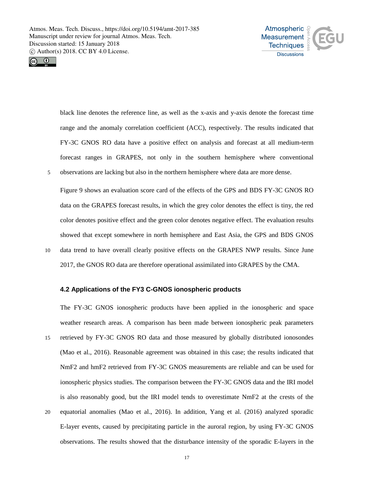



black line denotes the reference line, as well as the x-axis and y-axis denote the forecast time range and the anomaly correlation coefficient (ACC), respectively. The results indicated that FY-3C GNOS RO data have a positive effect on analysis and forecast at all medium-term forecast ranges in GRAPES, not only in the southern hemisphere where conventional 5 observations are lacking but also in the northern hemisphere where data are more dense.

Figure 9 shows an evaluation score card of the effects of the GPS and BDS FY-3C GNOS RO data on the GRAPES forecast results, in which the grey color denotes the effect is tiny, the red color denotes positive effect and the green color denotes negative effect. The evaluation results showed that except somewhere in north hemisphere and East Asia, the GPS and BDS GNOS 10 data trend to have overall clearly positive effects on the GRAPES NWP results. Since June 2017, the GNOS RO data are therefore operational assimilated into GRAPES by the CMA.

# **4.2 Applications of the FY3 C-GNOS ionospheric products**

The FY-3C GNOS ionospheric products have been applied in the ionospheric and space weather research areas. A comparison has been made between ionospheric peak parameters 15 retrieved by FY-3C GNOS RO data and those measured by globally distributed ionosondes (Mao et al., 2016). Reasonable agreement was obtained in this case; the results indicated that NmF2 and hmF2 retrieved from FY-3C GNOS measurements are reliable and can be used for ionospheric physics studies. The comparison between the FY-3C GNOS data and the IRI model is also reasonably good, but the IRI model tends to overestimate NmF2 at the crests of the 20 equatorial anomalies (Mao et al., 2016). In addition, Yang et al. (2016) analyzed sporadic E-layer events, caused by precipitating particle in the auroral region, by using FY-3C GNOS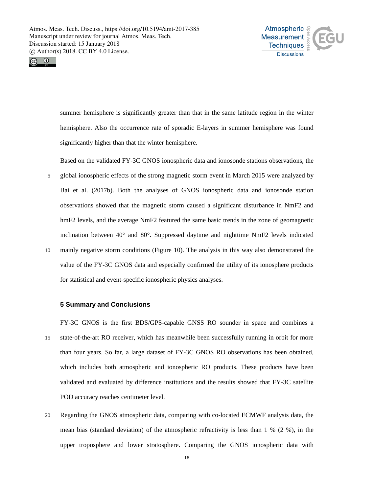



summer hemisphere is significantly greater than that in the same latitude region in the winter hemisphere. Also the occurrence rate of sporadic E-layers in summer hemisphere was found significantly higher than that the winter hemisphere.

Based on the validated FY-3C GNOS ionospheric data and ionosonde stations observations, the

5 global ionospheric effects of the strong magnetic storm event in March 2015 were analyzed by Bai et al. (2017b). Both the analyses of GNOS ionospheric data and ionosonde station observations showed that the magnetic storm caused a significant disturbance in NmF2 and hmF2 levels, and the average NmF2 featured the same basic trends in the zone of geomagnetic inclination between 40° and 80°. Suppressed daytime and nighttime NmF2 levels indicated 10 mainly negative storm conditions (Figure 10). The analysis in this way also demonstrated the value of the FY-3C GNOS data and especially confirmed the utility of its ionosphere products for statistical and event-specific ionospheric physics analyses.

# **5 Summary and Conclusions**

FY-3C GNOS is the first BDS/GPS-capable GNSS RO sounder in space and combines a 15 state-of-the-art RO receiver, which has meanwhile been successfully running in orbit for more than four years. So far, a large dataset of FY-3C GNOS RO observations has been obtained, which includes both atmospheric and ionospheric RO products. These products have been validated and evaluated by difference institutions and the results showed that FY-3C satellite POD accuracy reaches centimeter level.

20 Regarding the GNOS atmospheric data, comparing with co-located ECMWF analysis data, the mean bias (standard deviation) of the atmospheric refractivity is less than 1 % (2 %), in the upper troposphere and lower stratosphere. Comparing the GNOS ionospheric data with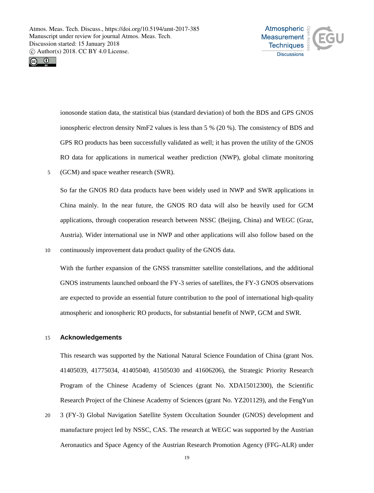



ionosonde station data, the statistical bias (standard deviation) of both the BDS and GPS GNOS ionospheric electron density NmF2 values is less than 5 % (20 %). The consistency of BDS and GPS RO products has been successfully validated as well; it has proven the utility of the GNOS RO data for applications in numerical weather prediction (NWP), global climate monitoring 5 (GCM) and space weather research (SWR).

So far the GNOS RO data products have been widely used in NWP and SWR applications in China mainly. In the near future, the GNOS RO data will also be heavily used for GCM applications, through cooperation research between NSSC (Beijing, China) and WEGC (Graz, Austria). Wider international use in NWP and other applications will also follow based on the 10 continuously improvement data product quality of the GNOS data.

With the further expansion of the GNSS transmitter satellite constellations, and the additional GNOS instruments launched onboard the FY-3 series of satellites, the FY-3 GNOS observations are expected to provide an essential future contribution to the pool of international high-quality atmospheric and ionospheric RO products, for substantial benefit of NWP, GCM and SWR.

# 15 **Acknowledgements**

This research was supported by the National Natural Science Foundation of China (grant Nos. 41405039, 41775034, 41405040, 41505030 and 41606206), the Strategic Priority Research Program of the Chinese Academy of Sciences (grant No. XDA15012300), the Scientific Research Project of the Chinese Academy of Sciences (grant No. YZ201129), and the FengYun 20 3 (FY-3) Global Navigation Satellite System Occultation Sounder (GNOS) development and manufacture project led by NSSC, CAS. The research at WEGC was supported by the Austrian Aeronautics and Space Agency of the Austrian Research Promotion Agency (FFG-ALR) under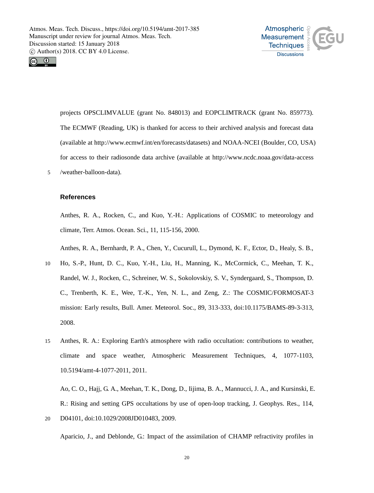



projects OPSCLIMVALUE (grant No. 848013) and EOPCLIMTRACK (grant No. 859773). The ECMWF (Reading, UK) is thanked for access to their archived analysis and forecast data (available at http://www.ecmwf.int/en/forecasts/datasets) and NOAA-NCEI (Boulder, CO, USA) for access to their radiosonde data archive (available at http://www.ncdc.noaa.gov/data-access 5 /weather-balloon-data).

#### **References**

Anthes, R. A., Rocken, C., and Kuo, Y.-H.: Applications of COSMIC to meteorology and climate, Terr. Atmos. Ocean. Sci., 11, 115-156, 2000.

Anthes, R. A., Bernhardt, P. A., Chen, Y., Cucurull, L., Dymond, K. F., Ector, D., Healy, S. B.,

- 10 Ho, S.-P., Hunt, D. C., Kuo, Y.-H., Liu, H., Manning, K., McCormick, C., Meehan, T. K., Randel, W. J., Rocken, C., Schreiner, W. S., Sokolovskiy, S. V., Syndergaard, S., Thompson, D. C., Trenberth, K. E., Wee, T.-K., Yen, N. L., and Zeng, Z.: The COSMIC/FORMOSAT-3 mission: Early results, Bull. Amer. Meteorol. Soc., 89, 313-333, doi:10.1175/BAMS-89-3-313, 2008.
- 15 Anthes, R. A.: Exploring Earth's atmosphere with radio occultation: contributions to weather, climate and space weather, Atmospheric Measurement Techniques, 4, 1077-1103, 10.5194/amt-4-1077-2011, 2011.

Ao, C. O., Hajj, G. A., Meehan, T. K., Dong, D., Iijima, B. A., Mannucci, J. A., and Kursinski, E. R.: Rising and setting GPS occultations by use of open-loop tracking, J. Geophys. Res., 114, 20 D04101, doi:10.1029/2008JD010483, 2009.

Aparicio, J., and Deblonde, G.: Impact of the assimilation of CHAMP refractivity profiles in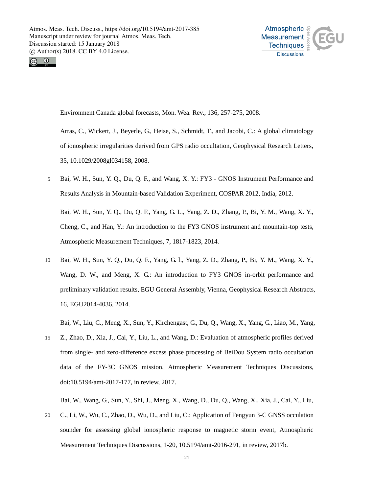



Environment Canada global forecasts, Mon. Wea. Rev., 136, 257-275, 2008.

Arras, C., Wickert, J., Beyerle, G., Heise, S., Schmidt, T., and Jacobi, C.: A global climatology of ionospheric irregularities derived from GPS radio occultation, Geophysical Research Letters, 35, 10.1029/2008gl034158, 2008.

5 Bai, W. H., Sun, Y. Q., Du, Q. F., and Wang, X. Y.: FY3 - GNOS Instrument Performance and Results Analysis in Mountain-based Validation Experiment, COSPAR 2012, India, 2012.

Bai, W. H., Sun, Y. Q., Du, Q. F., Yang, G. L., Yang, Z. D., Zhang, P., Bi, Y. M., Wang, X. Y., Cheng, C., and Han, Y.: An introduction to the FY3 GNOS instrument and mountain-top tests, Atmospheric Measurement Techniques, 7, 1817-1823, 2014.

10 Bai, W. H., Sun, Y. Q., Du, Q. F., Yang, G. l., Yang, Z. D., Zhang, P., Bi, Y. M., Wang, X. Y., Wang, D. W., and Meng, X. G.: An introduction to FY3 GNOS in-orbit performance and preliminary validation results, EGU General Assembly, Vienna, Geophysical Research Abstracts, 16, EGU2014-4036, 2014.

Bai, W., Liu, C., Meng, X., Sun, Y., Kirchengast, G., Du, Q., Wang, X., Yang, G., Liao, M., Yang,

15 Z., Zhao, D., Xia, J., Cai, Y., Liu, L., and Wang, D.: Evaluation of atmospheric profiles derived from single- and zero-difference excess phase processing of BeiDou System radio occultation data of the FY-3C GNOS mission, Atmospheric Measurement Techniques Discussions, doi:10.5194/amt-2017-177, in review, 2017.

Bai, W., Wang, G., Sun, Y., Shi, J., Meng, X., Wang, D., Du, Q., Wang, X., Xia, J., Cai, Y., Liu,

20 C., Li, W., Wu, C., Zhao, D., Wu, D., and Liu, C.: Application of Fengyun 3-C GNSS occulation sounder for assessing global ionospheric response to magnetic storm event, Atmospheric Measurement Techniques Discussions, 1-20, 10.5194/amt-2016-291, in review, 2017b.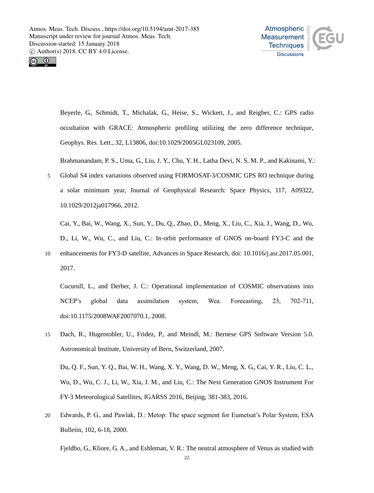



Beyerle, G., Schmidt, T., Michalak, G., Heise, S., Wickert, J., and Reigber, C.: GPS radio occultation with GRACE: Atmospheric profiling utilizing the zero difference technique, Geophys. Res. Lett., 32, L13806, doi:10.1029/2005GL023109, 2005.

Brahmanandam, P. S., Uma, G., Liu, J. Y., Chu, Y. H., Latha Devi, N. S. M. P., and Kakinami, Y.:

5 Global S4 index variations observed using FORMOSAT-3/COSMIC GPS RO technique during a solar minimum year, Journal of Geophysical Research: Space Physics, 117, A09322, 10.1029/2012ja017966, 2012.

Cai, Y., Bai, W., Wang, X., Sun, Y., Du, Q., Zhao, D., Meng, X., Liu, C., Xia, J., Wang, D., Wu, D., Li, W., Wu, C., and Liu, C.: In-orbit performance of GNOS on-board FY3-C and the 10 enhancements for FY3-D satellite, Advances in Space Research, doi: 10.1016/j.asr.2017.05.001,

2017.

Cucurull, L., and Derber, J. C.: Operational implementation of COSMIC observations into NCEP's global data assimilation system, Wea. Forecasting, 23, 702-711, doi:10.1175/2008WAF2007070.1, 2008.

15 Dach, R., Hugentobler, U., Fridez, P., and Meindl, M.: Bernese GPS Software Version 5.0. Astronomical Institute, University of Bern, Switzerland, 2007.

Du, Q. F., Sun, Y. Q., Bai, W. H., Wang, X. Y., Wang, D. W., Meng, X. G., Cai, Y. R., Liu, C. L., Wu, D., Wu, C. J., Li, W., Xia, J. M., and Liu, C.: The Next Generation GNOS Instrument For FY-3 Meteorological Satellites, IGARSS 2016, Beijing, 381-383, 2016.

20 Edwards, P. G., and Pawlak, D.: Metop: The space segment for Eumetsat's Polar System, ESA Bulletin, 102, 6-18, 2000.

Fjeldbo, G., Kliore, G. A., and Eshleman, V. R.: The neutral atmosphere of Venus as studied with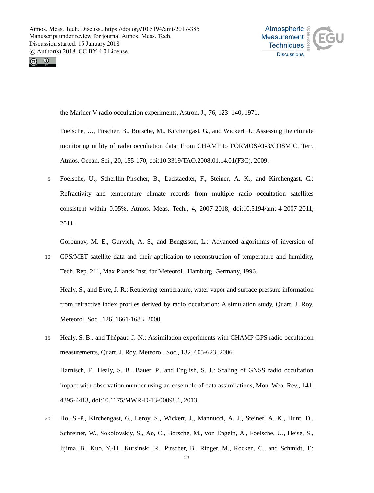



the Mariner V radio occultation experiments, Astron. J., 76, 123–140, 1971.

Foelsche, U., Pirscher, B., Borsche, M., Kirchengast, G., and Wickert, J.: Assessing the climate monitoring utility of radio occultation data: From CHAMP to FORMOSAT-3/COSMIC, Terr. Atmos. Ocean. Sci., 20, 155-170, doi:10.3319/TAO.2008.01.14.01(F3C), 2009.

5 Foelsche, U., Scherllin-Pirscher, B., Ladstaedter, F., Steiner, A. K., and Kirchengast, G.: Refractivity and temperature climate records from multiple radio occultation satellites consistent within 0.05%, Atmos. Meas. Tech., 4, 2007-2018, doi:10.5194/amt-4-2007-2011, 2011.

Gorbunov, M. E., Gurvich, A. S., and Bengtsson, L.: Advanced algorithms of inversion of 10 GPS/MET satellite data and their application to reconstruction of temperature and humidity,

Healy, S., and Eyre, J. R.: Retrieving temperature, water vapor and surface pressure information from refractive index profiles derived by radio occultation: A simulation study, Quart. J. Roy.

Tech. Rep. 211, Max Planck Inst. for Meteorol., Hamburg, Germany, 1996.

Meteorol. Soc., 126, 1661-1683, 2000.

- 15 Healy, S. B., and Thépaut, J.-N.: Assimilation experiments with CHAMP GPS radio occultation measurements, Quart. J. Roy. Meteorol. Soc., 132, 605-623, 2006. Harnisch, F., Healy, S. B., Bauer, P., and English, S. J.: Scaling of GNSS radio occultation impact with observation number using an ensemble of data assimilations, Mon. Wea. Rev., 141, 4395-4413, doi:10.1175/MWR-D-13-00098.1, 2013.
- 20 Ho, S.-P., Kirchengast, G., Leroy, S., Wickert, J., Mannucci, A. J., Steiner, A. K., Hunt, D., Schreiner, W., Sokolovskiy, S., Ao, C., Borsche, M., von Engeln, A., Foelsche, U., Heise, S., Iijima, B., Kuo, Y.-H., Kursinski, R., Pirscher, B., Ringer, M., Rocken, C., and Schmidt, T.: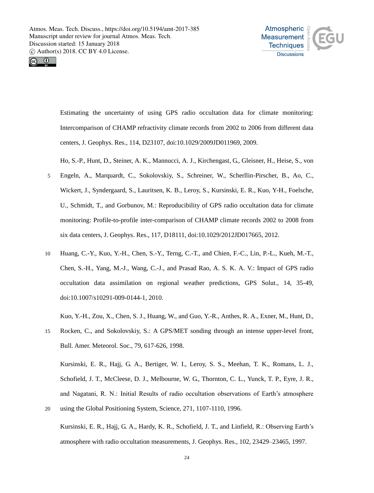



Estimating the uncertainty of using GPS radio occultation data for climate monitoring: Intercomparison of CHAMP refractivity climate records from 2002 to 2006 from different data centers, J. Geophys. Res., 114, D23107, doi:10.1029/2009JD011969, 2009.

Ho, S.-P., Hunt, D., Steiner, A. K., Mannucci, A. J., Kirchengast, G., Gleisner, H., Heise, S., von

- 5 Engeln, A., Marquardt, C., Sokolovskiy, S., Schreiner, W., Scherllin-Pirscher, B., Ao, C., Wickert, J., Syndergaard, S., Lauritsen, K. B., Leroy, S., Kursinski, E. R., Kuo, Y-H., Foelsche, U., Schmidt, T., and Gorbunov, M.: Reproducibility of GPS radio occultation data for climate monitoring: Profile-to-profile inter-comparison of CHAMP climate records 2002 to 2008 from six data centers, J. Geophys. Res., 117, D18111, doi:10.1029/2012JD017665, 2012.
- 10 Huang, C.-Y., Kuo, Y.-H., Chen, S.-Y., Terng, C.-T., and Chien, F.-C., Lin, P.-L., Kueh, M.-T., Chen, S.-H., Yang, M.-J., Wang, C.-J., and Prasad Rao, A. S. K. A. V.: Impact of GPS radio occultation data assimilation on regional weather predictions, GPS Solut., 14, 35-49, doi:10.1007/s10291-009-0144-1, 2010.

Kuo, Y.-H., Zou, X., Chen, S. J., Huang, W., and Guo, Y.-R., Anthes, R. A., Exner, M., Hunt, D.,

15 Rocken, C., and Sokolovskiy, S.: A GPS/MET sonding through an intense upper-level front, Bull. Amer. Meteorol. Soc., 79, 617-626, 1998.

Kursinski, E. R., Hajj, G. A., Bertiger, W. I., Leroy, S. S., Meehan, T. K., Romans, L. J., Schofield, J. T., McCleese, D. J., Melbourne, W. G., Thornton, C. L., Yunck, T. P., Eyre, J. R., and Nagatani, R. N.: Initial Results of radio occultation observations of Earth's atmosphere 20 using the Global Positioning System, Science, 271, 1107-1110, 1996.

Kursinski, E. R., Hajj, G. A., Hardy, K. R., Schofield, J. T., and Linfield, R.: Observing Earth's atmosphere with radio occultation measurements, J. Geophys. Res., 102, 23429–23465, 1997.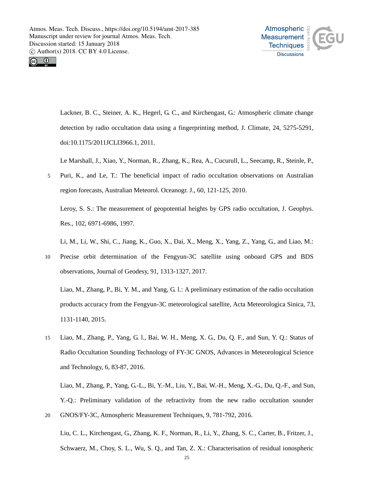



Lackner, B. C., Steiner, A. K., Hegerl, G. C., and Kirchengast, G.: Atmospheric climate change detection by radio occultation data using a fingerprinting method, J. Climate, 24, 5275-5291, doi:10.1175/2011JCLI3966.1, 2011.

Le Marshall, J., Xiao, Y., Norman, R., Zhang, K., Rea, A., Cucurull, L., Seecamp, R., Steinle, P.,

5 Puri, K., and Le, T.: The beneficial impact of radio occultation observations on Australian region forecasts, Australian Meteorol. Oceanogr. J., 60, 121-125, 2010.

Leroy, S. S.: The measurement of geopotential heights by GPS radio occultation, J. Geophys. Res., 102, 6971-6986, 1997.

Li, M., Li, W., Shi, C., Jiang, K., Guo, X., Dai, X., Meng, X., Yang, Z., Yang, G., and Liao, M.:

10 Precise orbit determination of the Fengyun-3C satellite using onboard GPS and BDS observations, Journal of Geodesy, 91, 1313-1327, 2017.

Liao, M., Zhang, P., Bi, Y. M., and Yang, G. l.: A preliminary estimation of the radio occultation products accuracy from the Fengyun-3C meteorological satellite, Acta Meteorologica Sinica, 73, 1131-1140, 2015.

15 Liao, M., Zhang, P., Yang, G. l., Bai, W. H., Meng, X. G., Du, Q. F., and Sun, Y. Q.: Status of Radio Occultation Sounding Technology of FY-3C GNOS, Advances in Meteorological Science and Technology, 6, 83-87, 2016.

Liao, M., Zhang, P., Yang, G.-L., Bi, Y.-M., Liu, Y., Bai, W.-H., Meng, X.-G., Du, Q.-F., and Sun, Y.-Q.: Preliminary validation of the refractivity from the new radio occultation sounder 20 GNOS/FY-3C, Atmospheric Measurement Techniques, 9, 781-792, 2016.

Liu, C. L., Kirchengast, G., Zhang, K. F., Norman, R., Li, Y., Zhang, S. C., Carter, B., Fritzer, J., Schwaerz, M., Choy, S. L., Wu, S. Q., and Tan, Z. X.: Characterisation of residual ionospheric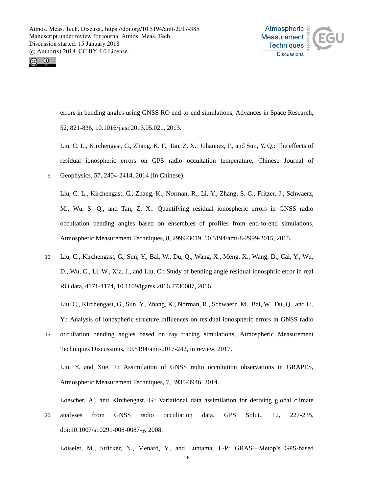



errors in bending angles using GNSS RO end-to-end simulations, Advances in Space Research, 52, 821-836, 10.1016/j.asr.2013.05.021, 2013.

Liu, C. L., Kirchengast, G., Zhang, K. F., Tan, Z. X., Johannes, F., and Sun, Y. Q.: The effects of residual ionospheric errors on GPS radio occultation temperature, Chinese Journal of 5 Geophysics, 57, 2404-2414, 2014 (In Chinese).

Liu, C. L., Kirchengast, G., Zhang, K., Norman, R., Li, Y., Zhang, S. C., Fritzer, J., Schwaerz, M., Wu, S. Q., and Tan, Z. X.: Quantifying residual ionospheric errors in GNSS radio occultation bending angles based on ensembles of profiles from end-to-end simulations, Atmospheric Measurement Techniques, 8, 2999-3019, 10.5194/amt-8-2999-2015, 2015.

10 Liu, C., Kirchengast, G., Sun, Y., Bai, W., Du, Q., Wang, X., Meng, X., Wang, D., Cai, Y., Wu, D., Wu, C., Li, W., Xia, J., and Liu, C.: Study of bending angle residual ionosphric error in real RO data, 4171-4174, 10.1109/igarss.2016.7730087, 2016.

Liu, C., Kirchengast, G., Sun, Y., Zhang, K., Norman, R., Schwaerz, M., Bai, W., Du, Q., and Li, Y.: Analysis of ionospheric structure influences on residual ionospheric errors in GNSS radio

15 occultation bending angles based on ray tracing simulations, Atmospheric Measurement Techniques Discussions, 10.5194/amt-2017-242, in review, 2017.

Liu, Y. and Xue, J.: Assimilation of GNSS radio occultation observations in GRAPES, Atmospheric Measurement Techniques, 7, 3935-3946, 2014.

Loescher, A., and Kirchengast, G.: Variational data assimilation for deriving global climate 20 analyses from GNSS radio occultation data, GPS Solut., 12, 227-235, doi:10.1007/s10291-008-0087-y, 2008.

Loiselet, M., Stricker, N., Menard, Y., and Luntama, J.-P.: GRAS—Metop's GPS-based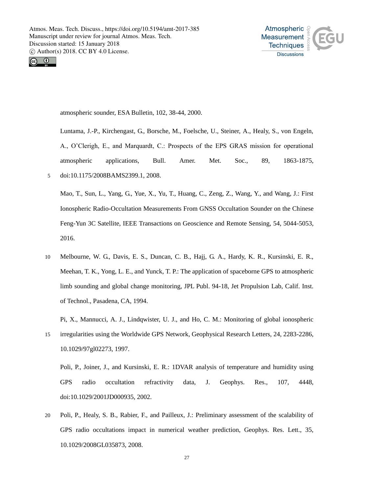



atmospheric sounder, ESA Bulletin, 102, 38-44, 2000.

Luntama, J.-P., Kirchengast, G., Borsche, M., Foelsche, U., Steiner, A., Healy, S., von Engeln, A., O'Clerigh, E., and Marquardt, C.: Prospects of the EPS GRAS mission for operational atmospheric applications, Bull. Amer. Met. Soc., 89, 1863-1875, 5 doi:10.1175/2008BAMS2399.1, 2008.

Mao, T., Sun, L., Yang, G., Yue, X., Yu, T., Huang, C., Zeng, Z., Wang, Y., and Wang, J.: First Ionospheric Radio-Occultation Measurements From GNSS Occultation Sounder on the Chinese Feng-Yun 3C Satellite, IEEE Transactions on Geoscience and Remote Sensing, 54, 5044-5053, 2016.

10 Melbourne, W. G., Davis, E. S., Duncan, C. B., Hajj, G. A., Hardy, K. R., Kursinski, E. R., Meehan, T. K., Yong, L. E., and Yunck, T. P.: The application of spaceborne GPS to atmospheric limb sounding and global change monitoring, JPL Publ. 94-18, Jet Propulsion Lab, Calif. Inst. of Technol., Pasadena, CA, 1994.

Pi, X., Mannucci, A. J., Lindqwister, U. J., and Ho, C. M.: Monitoring of global ionospheric

15 irregularities using the Worldwide GPS Network, Geophysical Research Letters, 24, 2283-2286, 10.1029/97gl02273, 1997.

Poli, P., Joiner, J., and Kursinski, E. R.: 1DVAR analysis of temperature and humidity using GPS radio occultation refractivity data, J. Geophys. Res., 107, 4448, doi:10.1029/2001JD000935, 2002.

20 Poli, P., Healy, S. B., Rabier, F., and Pailleux, J.: Preliminary assessment of the scalability of GPS radio occultations impact in numerical weather prediction, Geophys. Res. Lett., 35, 10.1029/2008GL035873, 2008.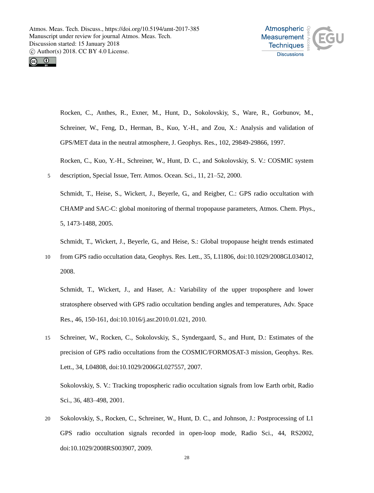



Rocken, C., Anthes, R., Exner, M., Hunt, D., Sokolovskiy, S., Ware, R., Gorbunov, M., Schreiner, W., Feng, D., Herman, B., Kuo, Y.-H., and Zou, X.: Analysis and validation of GPS/MET data in the neutral atmosphere, J. Geophys. Res., 102, 29849-29866, 1997.

Rocken, C., Kuo, Y.-H., Schreiner, W., Hunt, D. C., and Sokolovskiy, S. V.: COSMIC system 5 description, Special Issue, Terr. Atmos. Ocean. Sci., 11, 21–52, 2000.

Schmidt, T., Heise, S., Wickert, J., Beyerle, G., and Reigber, C.: GPS radio occultation with CHAMP and SAC-C: global monitoring of thermal tropopause parameters, Atmos. Chem. Phys., 5, 1473-1488, 2005.

Schmidt, T., Wickert, J., Beyerle, G., and Heise, S.: Global tropopause height trends estimated

10 from GPS radio occultation data, Geophys. Res. Lett., 35, L11806, doi:10.1029/2008GL034012, 2008.

Schmidt, T., Wickert, J., and Haser, A.: Variability of the upper troposphere and lower stratosphere observed with GPS radio occultation bending angles and temperatures, Adv. Space Res., 46, 150-161, doi:10.1016/j.asr.2010.01.021, 2010.

15 Schreiner, W., Rocken, C., Sokolovskiy, S., Syndergaard, S., and Hunt, D.: Estimates of the precision of GPS radio occultations from the COSMIC/FORMOSAT-3 mission, Geophys. Res. Lett., 34, L04808, doi:10.1029/2006GL027557, 2007.

Sokolovskiy, S. V.: Tracking tropospheric radio occultation signals from low Earth orbit, Radio Sci., 36, 483–498, 2001.

20 Sokolovskiy, S., Rocken, C., Schreiner, W., Hunt, D. C., and Johnson, J.: Postprocessing of L1 GPS radio occultation signals recorded in open-loop mode, Radio Sci., 44, RS2002, doi:10.1029/2008RS003907, 2009.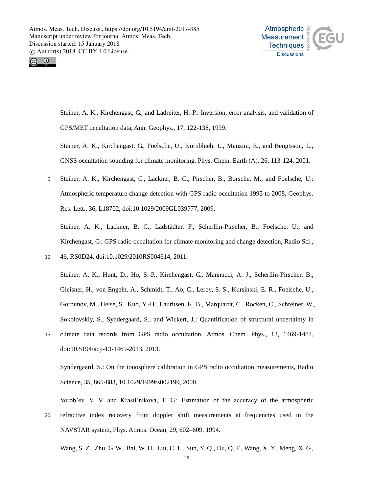



Steiner, A. K., Kirchengast, G., and Ladreiter, H.-P.: Inversion, error analysis, and validation of GPS/MET occultation data, Ann. Geophys., 17, 122-138, 1999.

Steiner, A. K., Kirchengast, G., Foelsche, U., Kornblueh, L., Manzini, E., and Bengtsson, L., GNSS occultation sounding for climate monitoring, Phys. Chem. Earth (A), 26, 113-124, 2001.

5 Steiner, A. K., Kirchengast, G., Lackner, B. C., Pirscher, B., Borsche, M., and Foelsche, U.: Atmospheric temperature change detection with GPS radio occultation 1995 to 2008, Geophys. Res. Lett., 36, L18702, doi:10.1029/2009GL039777, 2009.

Steiner, A. K., Lackner, B. C., Ladstädter, F., Scherllin-Pirscher, B., Foelsche, U., and Kirchengast, G.: GPS radio occultation for climate monitoring and change detection, Radio Sci., 10 46, RS0D24, doi:10.1029/2010RS004614, 2011.

Steiner, A. K., Hunt, D., Ho, S.-P., Kirchengast, G., Mannucci, A. J., Scherllin-Pirscher, B., Gleisner, H., von Engeln, A., Schmidt, T., Ao, C., Leroy, S. S., Kursinski, E. R., Foelsche, U., Gorbunov, M., Heise, S., Kuo, Y.-H., Lauritsen, K. B., Marquardt, C., Rocken, C., Schreiner, W., Sokolovskiy, S., Syndergaard, S., and Wickert, J.: Quantification of structural uncertainty in 15 climate data records from GPS radio occultation, Atmos. Chem. Phys., 13, 1469-1484,

doi:10.5194/acp-13-1469-2013, 2013.

Syndergaard, S.: On the ionosphere calibration in GPS radio occultation measurements, Radio Science, 35, 865-883, 10.1029/1999rs002199, 2000.

Vorob'ev, V. V. and Krasil'nikova, T. G.: Estimation of the accuracy of the atmospheric 20 refractive index recovery from doppler shift measurements at frequencies used in the NAVSTAR system, Phys. Atmos. Ocean, 29, 602–609, 1994.

Wang, S. Z., Zhu, G. W., Bai, W. H., Liu, C. L., Sun, Y. Q., Du, Q. F., Wang, X. Y., Meng, X. G.,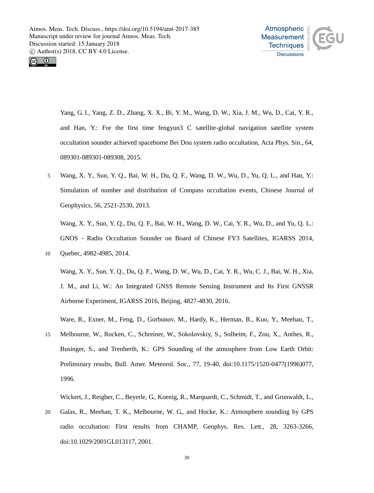



Yang, G. l., Yang, Z. D., Zhang, X. X., Bi, Y. M., Wang, D. W., Xia, J. M., Wu, D., Cai, Y. R., and Han, Y.: For the first time fengyun3 C satellite-global navigation satellite system occultation sounder achieved spaceborne Bei Dou system radio occultation, Acta Phys. Sin., 64, 089301-089301-089308, 2015.

5 Wang, X. Y., Sun, Y. Q., Bai, W. H., Du, Q. F., Wang, D. W., Wu, D., Yu, Q. L., and Han, Y.: Simulation of number and distribution of Compass occultation events, Chinese Journal of Geophysics, 56, 2521-2530, 2013.

Wang, X. Y., Sun, Y. Q., Du, Q. F., Bai, W. H., Wang, D. W., Cai, Y. R., Wu, D., and Yu, Q. L.: GNOS - Radio Occultation Sounder on Board of Chinese FY3 Satellites, IGARSS 2014, 10 Quebec, 4982-4985, 2014.

Wang, X. Y., Sun, Y. Q., Du, Q. F., Wang, D. W., Wu, D., Cai, Y. R., Wu, C. J., Bai, W. H., Xia, J. M., and Li, W.: An Integrated GNSS Remote Sensing Instrument and Its First GNSSR Airborne Experiment, IGARSS 2016, Beijing, 4827-4830, 2016.

Ware, R., Exner, M., Feng, D., Gorbunov, M., Hardy, K., Herman, B., Kuo, Y., Meehan, T.,

15 Melbourne, W., Rocken, C., Schreiner, W., Sokolovskiy, S., Solheim, F., Zou, X., Anthes, R., Businger, S., and Trenberth, K.: GPS Sounding of the atmosphere from Low Earth Orbit: Preliminary results, Bull. Amer. Meteorol. Soc., 77, 19-40, doi:10.1175/1520-0477(1996)077, 1996.

Wickert, J., Reigber, C., Beyerle, G., Koenig, R., Marquardt, C., Schmidt, T., and Grunwaldt, L.,

20 Galas, R., Meehan, T. K., Melbourne, W. G., and Hocke, K.: Atmosphere sounding by GPS radio occultation: First results from CHAMP, Geophys. Res. Lett., 28, 3263-3266, doi:10.1029/2001GL013117, 2001.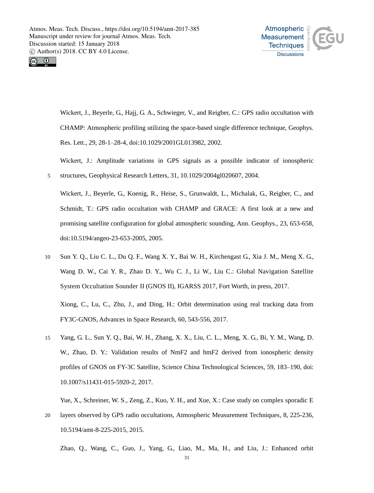



Wickert, J., Beyerle, G., Hajj, G. A., Schwieger, V., and Reigber, C.: GPS radio occultation with CHAMP: Atmospheric profiling utilizing the space-based single difference technique, Geophys. Res. Lett., 29, 28-1–28-4, doi:10.1029/2001GL013982, 2002.

Wickert, J.: Amplitude variations in GPS signals as a possible indicator of ionospheric 5 structures, Geophysical Research Letters, 31, 10.1029/2004gl020607, 2004.

Wickert, J., Beyerle, G., Koenig, R., Heise, S., Grunwaldt, L., Michalak, G., Reigber, C., and Schmidt, T.: GPS radio occultation with CHAMP and GRACE: A first look at a new and promising satellite configuration for global atmospheric sounding, Ann. Geophys., 23, 653-658, doi:10.5194/angeo-23-653-2005, 2005.

- 10 Sun Y. Q., Liu C. L., Du Q. F., Wang X. Y., Bai W. H., Kirchengast G., Xia J. M., Meng X. G., Wang D. W., Cai Y. R., Zhao D. Y., Wu C. J., Li W., Liu C.: Global Navigation Satellite System Occultation Sounder II (GNOS II), IGARSS 2017, Fort Worth, in press, 2017. Xiong, C., Lu, C., Zhu, J., and Ding, H.: Orbit determination using real tracking data from FY3C-GNOS, Advances in Space Research, 60, 543-556, 2017.
- 15 Yang, G. L., Sun Y. Q., Bai, W. H., Zhang, X. X., Liu, C. L., Meng, X. G., Bi, Y. M., Wang, D. W., Zhao, D. Y.: Validation results of NmF2 and hmF2 derived from ionospheric density profiles of GNOS on FY-3C Satellite, Science China Technological Sciences, 59, 183–190, doi: 10.1007/s11431-015-5920-2, 2017.

Yue, X., Schreiner, W. S., Zeng, Z., Kuo, Y. H., and Xue, X.: Case study on complex sporadic E

20 layers observed by GPS radio occultations, Atmospheric Measurement Techniques, 8, 225-236, 10.5194/amt-8-225-2015, 2015.

Zhao, Q., Wang, C., Guo, J., Yang, G., Liao, M., Ma, H., and Liu, J.: Enhanced orbit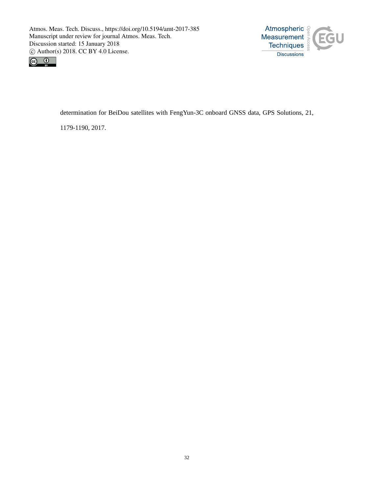



determination for BeiDou satellites with FengYun-3C onboard GNSS data, GPS Solutions, 21,

1179-1190, 2017.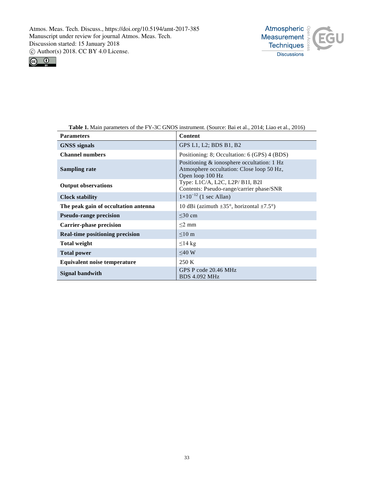



**Table 1.** Main parameters of the FY-3C GNOS instrument. (Source: Bai et al., 2014; Liao et al., 2016)

| <b>Parameters</b>                      | Content                                                                                                     |
|----------------------------------------|-------------------------------------------------------------------------------------------------------------|
| <b>GNSS</b> signals                    | GPS L1, L2; BDS B1, B2                                                                                      |
| <b>Channel numbers</b>                 | Positioning: 8; Occultation: 6 (GPS) 4 (BDS)                                                                |
| <b>Sampling rate</b>                   | Positioning & ionosphere occultation: 1 Hz<br>Atmosphere occultation: Close loop 50 Hz,<br>Open loop 100 Hz |
| <b>Output observations</b>             | Type: L1C/A, L2C, L2P/ B1I, B2I<br>Contents: Pseudo-range/carrier phase/SNR                                 |
| <b>Clock stability</b>                 | $1 \times 10^{-12}$ (1 sec Allan)                                                                           |
| The peak gain of occultation antenna   | 10 dBi (azimuth $\pm 35$ °, horizontal $\pm 7.5$ °)                                                         |
| <b>Pseudo-range precision</b>          | $\leq$ 30 cm                                                                                                |
| <b>Carrier-phase precision</b>         | $\leq$ 2 mm                                                                                                 |
| <b>Real-time positioning precision</b> | $\leq 10 \text{ m}$                                                                                         |
| <b>Total weight</b>                    | $\leq$ 14 kg                                                                                                |
| <b>Total power</b>                     | $<$ 40 W                                                                                                    |
| <b>Equivalent noise temperature</b>    | 250 K                                                                                                       |
| Signal bandwith                        | GPS P code 20.46 MHz<br><b>BDS 4.092 MHz</b>                                                                |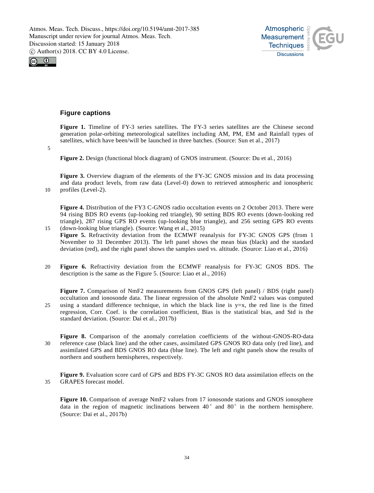



# **Figure captions**

**Figure 1.** Timeline of FY-3 series satellites. The FY-3 series satellites are the Chinese second generation polar-orbiting meteorological satellites including AM, PM, EM and Rainfall types of satellites, which have been/will be launched in three batches. (Source: Sun et al., 2017)

5

**Figure 2.** Design (functional block diagram) of GNOS instrument. (Source: Du et al., 2016)

**Figure 3.** Overview diagram of the elements of the FY-3C GNOS mission and its data processing and data product levels, from raw data (Level-0) down to retrieved atmospheric and ionospheric 10 profiles (Level-2).

**Figure 4.** Distribution of the FY3 C-GNOS radio occultation events on 2 October 2013. There were 94 rising BDS RO events (up-looking red triangle), 90 setting BDS RO events (down-looking red triangle), 287 rising GPS RO events (up-looking blue triangle), and 256 setting GPS RO events 15 (down-looking blue triangle). (Source: Wang et al., 2015)

- **Figure 5.** Refractivity deviation from the ECMWF reanalysis for FY-3C GNOS GPS (from 1 November to 31 December 2013). The left panel shows the mean bias (black) and the standard deviation (red), and the right panel shows the samples used vs. altitude. (Source: Liao et al., 2016)
- 20 **Figure 6.** Refractivity deviation from the ECMWF reanalysis for FY-3C GNOS BDS. The description is the same as the Figure 5. (Source: Liao et al., 2016)

**Figure 7.** Comparison of NmF2 measurements from GNOS GPS (left panel) / BDS (right panel) occultation and ionosonde data. The linear regression of the absolute NmF2 values was computed 25 using a standard difference technique, in which the black line is y=x, the red line is the fitted regression, Corr. Coef. is the correlation coefficient, Bias is the statistical bias, and Std is the standard deviation. (Source: Dai et al., 2017b)

**Figure 8.** Comparison of the anomaly correlation coefficients of the without-GNOS-RO-data 30 reference case (black line) and the other cases, assimilated GPS GNOS RO data only (red line), and assimilated GPS and BDS GNOS RO data (blue line). The left and right panels show the results of northern and southern hemispheres, respectively.

**Figure 9.** Evaluation score card of GPS and BDS FY-3C GNOS RO data assimilation effects on the 35 GRAPES forecast model.

**Figure 10.** Comparison of average NmF2 values from 17 ionosonde stations and GNOS ionosphere data in the region of magnetic inclinations between  $40^{\circ}$  and  $80^{\circ}$  in the northern hemisphere. (Source: Dai et al., 2017b)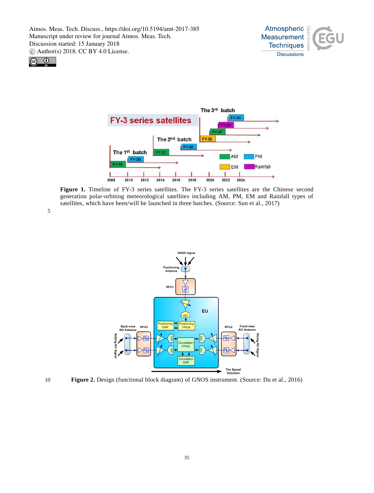





**Figure 1.** Timeline of FY-3 series satellites. The FY-3 series satellites are the Chinese second generation polar-orbiting meteorological satellites including AM, PM, EM and Rainfall types of satellites, which have been/will be launched in three batches. (Source: Sun et al., 2017)

5





10 **Figure 2.** Design (functional block diagram) of GNOS instrument. (Source: Du et al., 2016)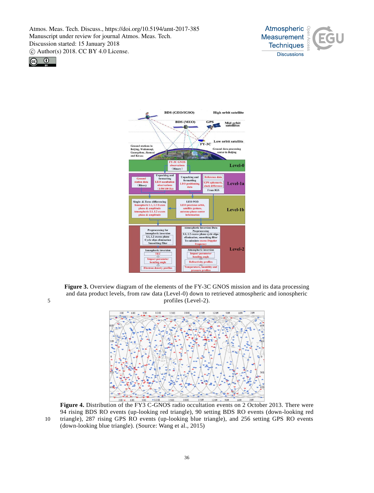





**Figure 3.** Overview diagram of the elements of the FY-3C GNOS mission and its data processing and data product levels, from raw data (Level-0) down to retrieved atmospheric and ionospheric 5 profiles (Level-2).



**Figure 4.** Distribution of the FY3 C-GNOS radio occultation events on 2 October 2013. There were 94 rising BDS RO events (up-looking red triangle), 90 setting BDS RO events (down-looking red 10 triangle), 287 rising GPS RO events (up-looking blue triangle), and 256 setting GPS RO events (down-looking blue triangle). (Source: Wang et al., 2015)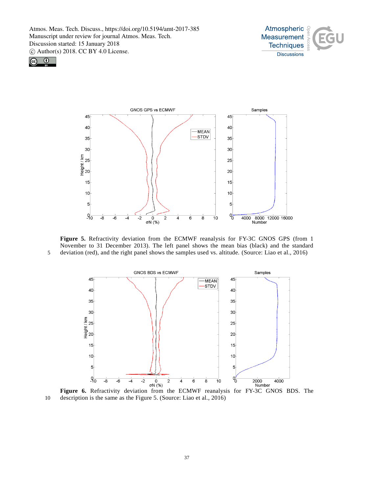





**Figure 5.** Refractivity deviation from the ECMWF reanalysis for FY-3C GNOS GPS (from 1 November to 31 December 2013). The left panel shows the mean bias (black) and the standard 5 deviation (red), and the right panel shows the samples used vs. altitude. (Source: Liao et al., 2016)



**Figure 6.** Refractivity deviation from the ECMWF reanalysis for FY-3C GNOS BDS. The 10 description is the same as the Figure 5. (Source: Liao et al., 2016)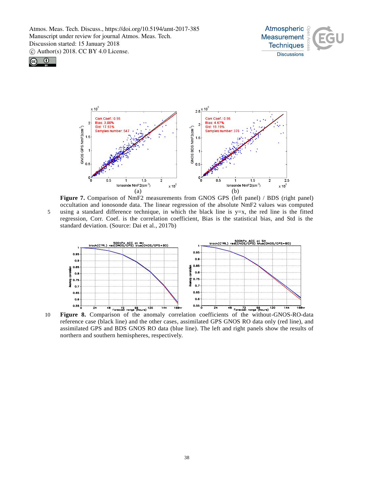





**Figure 7.** Comparison of NmF2 measurements from GNOS GPS (left panel) / BDS (right panel) occultation and ionosonde data. The linear regression of the absolute NmF2 values was computed 5 using a standard difference technique, in which the black line is  $y=x$ , the red line is the fitted regression, Corr. Coef. is the correlation coefficient, Bias is the statistical bias, and Std is the standard deviation. (Source: Dai et al., 2017b)



10 **Figure 8.** Comparison of the anomaly correlation coefficients of the without-GNOS-RO-data reference case (black line) and the other cases, assimilated GPS GNOS RO data only (red line), and assimilated GPS and BDS GNOS RO data (blue line). The left and right panels show the results of northern and southern hemispheres, respectively.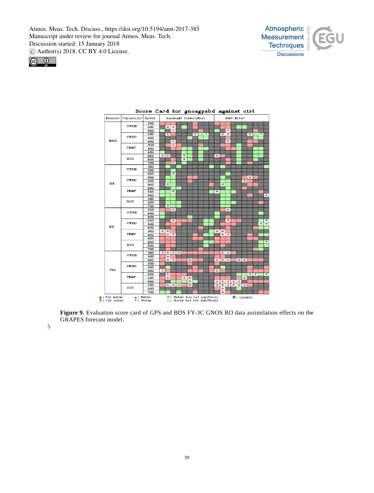





**Figure 9.** Evaluation score card of GPS and BDS FY-3C GNOS RO data assimilation effects on the GRAPES forecast model.

5